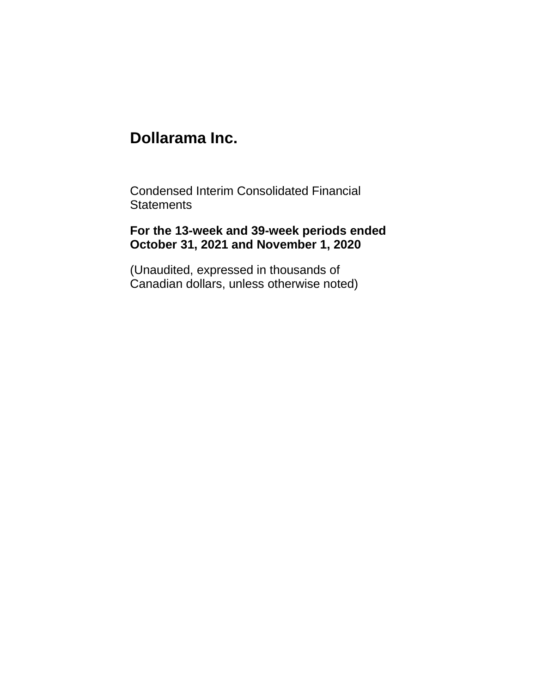Condensed Interim Consolidated Financial **Statements** 

# **For the 13-week and 39-week periods ended October 31, 2021 and November 1, 2020**

(Unaudited, expressed in thousands of Canadian dollars, unless otherwise noted)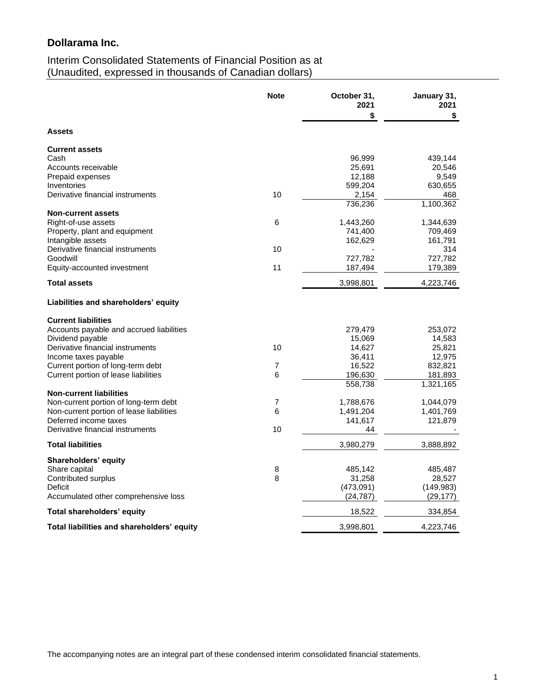# Interim Consolidated Statements of Financial Position as at (Unaudited, expressed in thousands of Canadian dollars)

|                                                           | <b>Note</b>    | October 31,<br>2021 | January 31,<br>2021 |
|-----------------------------------------------------------|----------------|---------------------|---------------------|
|                                                           |                | \$                  | S.                  |
| <b>Assets</b>                                             |                |                     |                     |
| <b>Current assets</b>                                     |                |                     |                     |
| Cash                                                      |                | 96,999              | 439,144             |
| Accounts receivable                                       |                | 25,691              | 20,546              |
| Prepaid expenses                                          |                | 12,188              | 9,549               |
| Inventories<br>Derivative financial instruments           | 10             | 599,204<br>2,154    | 630,655<br>468      |
|                                                           |                | 736,236             | 1,100,362           |
| <b>Non-current assets</b>                                 |                |                     |                     |
| Right-of-use assets                                       | 6              | 1,443,260           | 1,344,639           |
| Property, plant and equipment                             |                | 741,400             | 709,469             |
| Intangible assets                                         |                | 162,629             | 161,791             |
| Derivative financial instruments                          | 10             |                     | 314                 |
| Goodwill                                                  |                | 727,782             | 727,782             |
| Equity-accounted investment                               | 11             | 187,494             | 179,389             |
| <b>Total assets</b>                                       |                | 3,998,801           | 4,223,746           |
| Liabilities and shareholders' equity                      |                |                     |                     |
| <b>Current liabilities</b>                                |                |                     |                     |
| Accounts payable and accrued liabilities                  |                | 279,479             | 253,072             |
| Dividend payable                                          |                | 15,069              | 14,583              |
| Derivative financial instruments                          | 10             | 14,627              | 25,821              |
| Income taxes payable                                      |                | 36,411              | 12,975              |
| Current portion of long-term debt                         | $\overline{7}$ | 16,522              | 832,821             |
| Current portion of lease liabilities                      | 6              | 196,630             | 181,893             |
|                                                           |                | 558,738             | 1,321,165           |
| <b>Non-current liabilities</b>                            |                |                     |                     |
| Non-current portion of long-term debt                     | $\overline{7}$ | 1,788,676           | 1,044,079           |
| Non-current portion of lease liabilities                  | 6              | 1,491,204           | 1,401,769           |
| Deferred income taxes<br>Derivative financial instruments | 10             | 141,617<br>44       | 121,879             |
|                                                           |                |                     |                     |
| <b>Total liabilities</b>                                  |                | 3,980,279           | 3,888,892           |
| <b>Shareholders' equity</b>                               |                |                     |                     |
| Share capital                                             | 8              | 485,142             | 485,487             |
| Contributed surplus                                       | 8              | 31,258              | 28,527              |
| Deficit                                                   |                | (473,091)           | (149, 983)          |
| Accumulated other comprehensive loss                      |                | (24, 787)           | (29, 177)           |
| Total shareholders' equity                                |                | 18,522              | 334,854             |
| Total liabilities and shareholders' equity                |                | 3,998,801           | 4,223,746           |

The accompanying notes are an integral part of these condensed interim consolidated financial statements.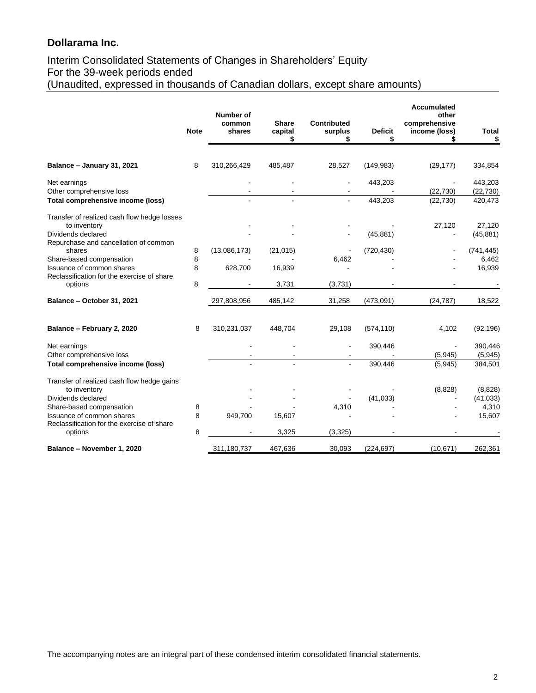# Interim Consolidated Statements of Changes in Shareholders' Equity For the 39-week periods ended (Unaudited, expressed in thousands of Canadian dollars, except share amounts)

|                                                                                    |             | <b>Number of</b> |                               |                                    |                      | <b>Accumulated</b><br>other    |                      |
|------------------------------------------------------------------------------------|-------------|------------------|-------------------------------|------------------------------------|----------------------|--------------------------------|----------------------|
|                                                                                    | <b>Note</b> | common<br>shares | <b>Share</b><br>capital<br>\$ | <b>Contributed</b><br>surplus<br>S | <b>Deficit</b><br>\$ | comprehensive<br>income (loss) | <b>Total</b><br>\$   |
|                                                                                    |             |                  |                               |                                    |                      |                                |                      |
| Balance - January 31, 2021                                                         | 8           | 310,266,429      | 485,487                       | 28,527                             | (149, 983)           | (29, 177)                      | 334,854              |
| Net earnings<br>Other comprehensive loss                                           |             |                  |                               |                                    | 443,203              | (22, 730)                      | 443,203<br>(22, 730) |
| Total comprehensive income (loss)                                                  |             |                  |                               |                                    | 443,203              | (22, 730)                      | 420,473              |
| Transfer of realized cash flow hedge losses<br>to inventory                        |             |                  |                               |                                    |                      | 27,120                         | 27,120               |
| Dividends declared<br>Repurchase and cancellation of common                        |             |                  |                               |                                    | (45, 881)            |                                | (45, 881)            |
| shares<br>Share-based compensation                                                 | 8<br>8      | (13,086,173)     | (21, 015)                     | 6,462                              | (720, 430)           |                                | (741, 445)<br>6,462  |
| Issuance of common shares<br>Reclassification for the exercise of share<br>options | 8           | 628,700          | 16,939                        |                                    |                      |                                | 16,939               |
|                                                                                    | 8           |                  | 3,731                         | (3,731)                            |                      |                                |                      |
| Balance - October 31, 2021                                                         |             | 297,808,956      | 485,142                       | 31,258                             | (473,091)            | (24, 787)                      | 18,522               |
| Balance - February 2, 2020                                                         | 8           | 310,231,037      | 448,704                       | 29,108                             | (574, 110)           | 4,102                          | (92, 196)            |
| Net earnings<br>Other comprehensive loss                                           |             |                  | $\sim$                        |                                    | 390,446              | (5, 945)                       | 390,446<br>(5,945)   |
| Total comprehensive income (loss)                                                  |             |                  |                               |                                    | 390,446              | (5, 945)                       | 384,501              |
| Transfer of realized cash flow hedge gains<br>to inventory                         |             |                  |                               |                                    |                      | (8,828)                        | (8,828)              |
| Dividends declared                                                                 |             |                  |                               |                                    | (41, 033)            |                                | (41, 033)            |
| Share-based compensation                                                           | 8           |                  |                               | 4,310                              |                      |                                | 4,310                |
| Issuance of common shares<br>Reclassification for the exercise of share            | 8           | 949,700          | 15,607<br>3,325               | (3, 325)                           |                      |                                | 15,607               |
| options                                                                            | 8           |                  |                               |                                    |                      |                                |                      |
| Balance - November 1, 2020                                                         |             | 311,180,737      | 467,636                       | 30,093                             | (224, 697)           | (10, 671)                      | 262,361              |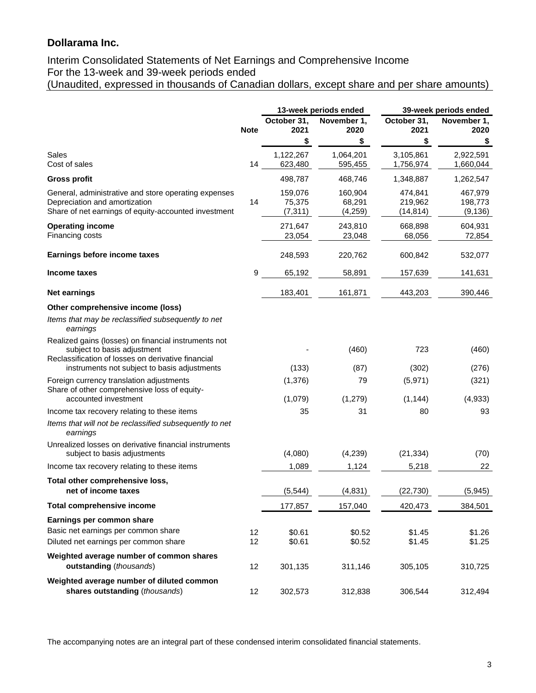### Interim Consolidated Statements of Net Earnings and Comprehensive Income For the 13-week and 39-week periods ended (Unaudited, expressed in thousands of Canadian dollars, except share and per share amounts)

|                                                                                       |             |                      | 13-week periods ended |                        | 39-week periods ended  |
|---------------------------------------------------------------------------------------|-------------|----------------------|-----------------------|------------------------|------------------------|
|                                                                                       |             | October 31,          | November 1,           | October 31,            | November 1,            |
|                                                                                       | <b>Note</b> | 2021                 | 2020                  | 2021                   | 2020                   |
|                                                                                       |             | \$                   | \$                    | \$                     | \$                     |
| Sales<br>Cost of sales                                                                | 14          | 1,122,267<br>623,480 | 1,064,201<br>595,455  | 3,105,861<br>1,756,974 | 2,922,591<br>1,660,044 |
|                                                                                       |             | 498,787              | 468,746               | 1,348,887              | 1,262,547              |
| <b>Gross profit</b>                                                                   |             |                      |                       |                        |                        |
| General, administrative and store operating expenses<br>Depreciation and amortization | 14          | 159,076              | 160,904<br>68,291     | 474,841                | 467,979                |
| Share of net earnings of equity-accounted investment                                  |             | 75,375<br>(7, 311)   | (4, 259)              | 219,962<br>(14, 814)   | 198,773<br>(9, 136)    |
|                                                                                       |             |                      |                       |                        |                        |
| <b>Operating income</b><br>Financing costs                                            |             | 271,647<br>23,054    | 243,810<br>23,048     | 668,898<br>68,056      | 604,931<br>72,854      |
|                                                                                       |             |                      |                       |                        |                        |
| Earnings before income taxes                                                          |             | 248,593              | 220,762               | 600,842                | 532,077                |
| Income taxes                                                                          | 9           | 65,192               | 58,891                | 157,639                | 141,631                |
| <b>Net earnings</b>                                                                   |             | 183,401              | 161,871               | 443,203                | 390,446                |
| Other comprehensive income (loss)                                                     |             |                      |                       |                        |                        |
| Items that may be reclassified subsequently to net<br>earnings                        |             |                      |                       |                        |                        |
| Realized gains (losses) on financial instruments not                                  |             |                      |                       |                        |                        |
| subject to basis adjustment<br>Reclassification of losses on derivative financial     |             |                      | (460)                 | 723                    | (460)                  |
| instruments not subject to basis adjustments                                          |             | (133)                | (87)                  | (302)                  | (276)                  |
| Foreign currency translation adjustments                                              |             | (1, 376)             | 79                    | (5,971)                | (321)                  |
| Share of other comprehensive loss of equity-                                          |             |                      |                       |                        |                        |
| accounted investment                                                                  |             | (1,079)              | (1, 279)              | (1, 144)               | (4,933)                |
| Income tax recovery relating to these items                                           |             | 35                   | 31                    | 80                     | 93                     |
| Items that will not be reclassified subsequently to net<br>earnings                   |             |                      |                       |                        |                        |
| Unrealized losses on derivative financial instruments                                 |             |                      |                       |                        |                        |
| subject to basis adjustments                                                          |             | (4,080)              | (4,239)               | (21, 334)              | (70)                   |
| Income tax recovery relating to these items                                           |             | 1,089                | 1,124                 | 5,218                  | 22                     |
| Total other comprehensive loss,                                                       |             |                      |                       |                        |                        |
| net of income taxes                                                                   |             | (5, 544)             | (4, 831)              | (22, 730)              | (5,945)                |
| <b>Total comprehensive income</b>                                                     |             | 177,857              | 157,040               | 420,473                | 384,501                |
| Earnings per common share                                                             |             |                      |                       |                        |                        |
| Basic net earnings per common share                                                   | 12          | \$0.61               | \$0.52                | \$1.45                 | \$1.26                 |
| Diluted net earnings per common share                                                 | 12          | \$0.61               | \$0.52                | \$1.45                 | \$1.25                 |
| Weighted average number of common shares                                              |             |                      |                       |                        |                        |
| outstanding (thousands)                                                               | 12          | 301,135              | 311,146               | 305,105                | 310,725                |
| Weighted average number of diluted common                                             |             |                      |                       |                        |                        |
| shares outstanding (thousands)                                                        | 12          | 302,573              | 312,838               | 306,544                | 312,494                |

The accompanying notes are an integral part of these condensed interim consolidated financial statements.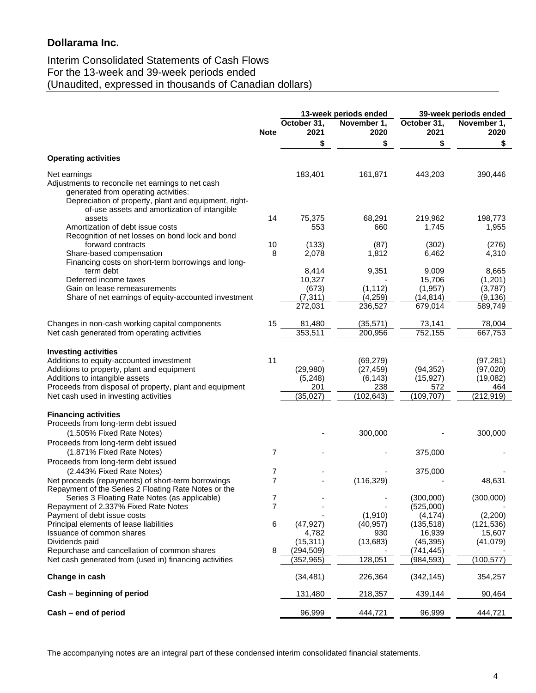# Interim Consolidated Statements of Cash Flows For the 13-week and 39-week periods ended (Unaudited, expressed in thousands of Canadian dollars)

|                                                                                                                                                                                                                                                             |                |                                                 | 13-week periods ended                                   |                                                    | 39-week periods ended                                   |  |
|-------------------------------------------------------------------------------------------------------------------------------------------------------------------------------------------------------------------------------------------------------------|----------------|-------------------------------------------------|---------------------------------------------------------|----------------------------------------------------|---------------------------------------------------------|--|
|                                                                                                                                                                                                                                                             | <b>Note</b>    | October 31,<br>2021                             | November 1,<br>2020                                     | October 31,<br>2021                                | November 1,<br>2020                                     |  |
|                                                                                                                                                                                                                                                             |                | \$                                              | \$                                                      | \$                                                 | \$                                                      |  |
| <b>Operating activities</b>                                                                                                                                                                                                                                 |                |                                                 |                                                         |                                                    |                                                         |  |
| Net earnings<br>Adjustments to reconcile net earnings to net cash<br>generated from operating activities:<br>Depreciation of property, plant and equipment, right-<br>of-use assets and amortization of intangible                                          |                | 183,401                                         | 161,871                                                 | 443,203                                            | 390,446                                                 |  |
| assets<br>Amortization of debt issue costs<br>Recognition of net losses on bond lock and bond                                                                                                                                                               | 14             | 75,375<br>553                                   | 68,291<br>660                                           | 219,962<br>1,745                                   | 198,773<br>1,955                                        |  |
| forward contracts<br>Share-based compensation<br>Financing costs on short-term borrowings and long-                                                                                                                                                         | 10<br>8        | (133)<br>2,078                                  | (87)<br>1,812                                           | (302)<br>6,462                                     | (276)<br>4,310                                          |  |
| term debt<br>Deferred income taxes<br>Gain on lease remeasurements<br>Share of net earnings of equity-accounted investment                                                                                                                                  |                | 8,414<br>10,327<br>(673)<br>(7, 311)<br>272,031 | 9,351<br>(1, 112)<br>(4, 259)<br>236,527                | 9,009<br>15,706<br>(1,957)<br>(14, 814)<br>679,014 | 8,665<br>(1,201)<br>(3,787)<br>(9, 136)<br>589,749      |  |
| Changes in non-cash working capital components<br>Net cash generated from operating activities                                                                                                                                                              | 15             | 81,480<br>353,511                               | (35, 571)<br>200,956                                    | 73,141<br>752,155                                  | 78,004<br>667,753                                       |  |
| <b>Investing activities</b><br>Additions to equity-accounted investment<br>Additions to property, plant and equipment<br>Additions to intangible assets<br>Proceeds from disposal of property, plant and equipment<br>Net cash used in investing activities | 11             | (29,980)<br>(5,248)<br>201<br>(35, 027)         | (69, 279)<br>(27, 459)<br>(6, 143)<br>238<br>(102, 643) | (94, 352)<br>(15, 927)<br>572<br>(109, 707)        | (97, 281)<br>(97, 020)<br>(19,082)<br>464<br>(212, 919) |  |
| <b>Financing activities</b><br>Proceeds from long-term debt issued<br>(1.505% Fixed Rate Notes)<br>Proceeds from long-term debt issued<br>(1.871% Fixed Rate Notes)                                                                                         | 7              |                                                 | 300,000                                                 | 375,000                                            | 300,000                                                 |  |
| Proceeds from long-term debt issued<br>(2.443% Fixed Rate Notes)                                                                                                                                                                                            | 7              |                                                 |                                                         | 375,000                                            |                                                         |  |
| Net proceeds (repayments) of short-term borrowings<br>Repayment of the Series 2 Floating Rate Notes or the                                                                                                                                                  | $\overline{7}$ |                                                 | (116, 329)                                              |                                                    | 48,631                                                  |  |
| Series 3 Floating Rate Notes (as applicable)<br>Repayment of 2.337% Fixed Rate Notes<br>Payment of debt issue costs                                                                                                                                         | 7<br>7         |                                                 | (1,910)                                                 | (300,000)<br>(525,000)<br>(4, 174)                 | (300,000)<br>(2,200)                                    |  |
| Principal elements of lease liabilities<br>Issuance of common shares<br>Dividends paid                                                                                                                                                                      | 6              | (47, 927)<br>4,782<br>(15, 311)                 | (40, 957)<br>930<br>(13,683)                            | (135, 518)<br>16,939<br>(45, 395)                  | (121, 536)<br>15,607<br>(41,079)                        |  |
| Repurchase and cancellation of common shares<br>Net cash generated from (used in) financing activities                                                                                                                                                      | 8              | (294, 509)<br>(352, 965)                        | 128,051                                                 | (741,445)<br>(984, 593)                            | (100, 577)                                              |  |
| Change in cash                                                                                                                                                                                                                                              |                | (34, 481)                                       | 226,364                                                 | (342, 145)                                         | 354,257                                                 |  |
| Cash - beginning of period                                                                                                                                                                                                                                  |                | 131,480                                         | 218,357                                                 | 439,144                                            | 90,464                                                  |  |
| Cash – end of period                                                                                                                                                                                                                                        |                | 96,999                                          | 444,721                                                 | 96,999                                             | 444,721                                                 |  |

The accompanying notes are an integral part of these condensed interim consolidated financial statements.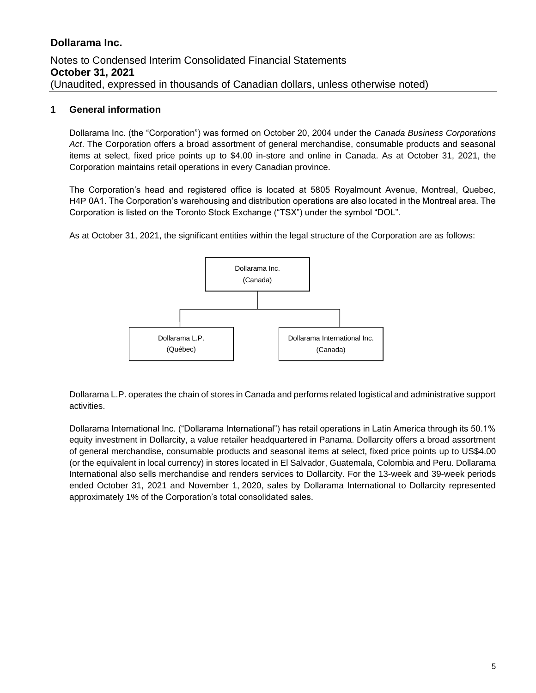### **1 General information**

Dollarama Inc. (the "Corporation") was formed on October 20, 2004 under the *Canada Business Corporations Act*. The Corporation offers a broad assortment of general merchandise, consumable products and seasonal items at select, fixed price points up to \$4.00 in-store and online in Canada. As at October 31, 2021, the Corporation maintains retail operations in every Canadian province.

The Corporation's head and registered office is located at 5805 Royalmount Avenue, Montreal, Quebec, H4P 0A1. The Corporation's warehousing and distribution operations are also located in the Montreal area. The Corporation is listed on the Toronto Stock Exchange ("TSX") under the symbol "DOL".

As at October 31, 2021, the significant entities within the legal structure of the Corporation are as follows:



Dollarama L.P. operates the chain of stores in Canada and performs related logistical and administrative support activities.

Dollarama International Inc. ("Dollarama International") has retail operations in Latin America through its 50.1% equity investment in Dollarcity, a value retailer headquartered in Panama. Dollarcity offers a broad assortment of general merchandise, consumable products and seasonal items at select, fixed price points up to US\$4.00 (or the equivalent in local currency) in stores located in El Salvador, Guatemala, Colombia and Peru. Dollarama International also sells merchandise and renders services to Dollarcity. For the 13-week and 39-week periods ended October 31, 2021 and November 1, 2020, sales by Dollarama International to Dollarcity represented approximately 1% of the Corporation's total consolidated sales.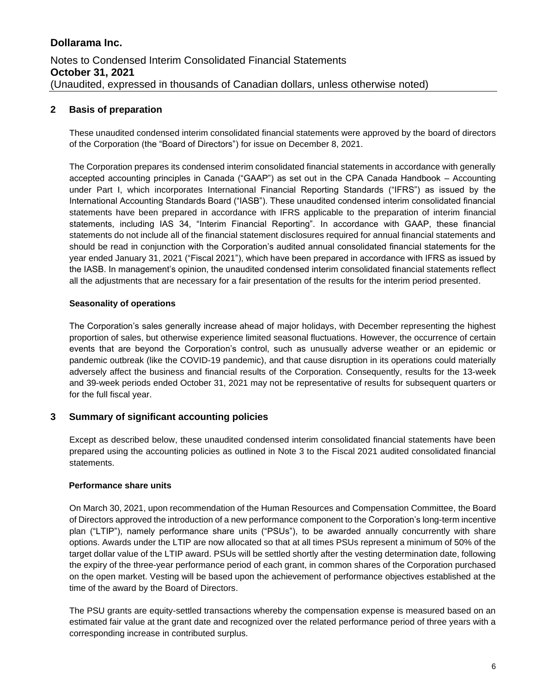### **2 Basis of preparation**

These unaudited condensed interim consolidated financial statements were approved by the board of directors of the Corporation (the "Board of Directors") for issue on December 8, 2021.

The Corporation prepares its condensed interim consolidated financial statements in accordance with generally accepted accounting principles in Canada ("GAAP") as set out in the CPA Canada Handbook – Accounting under Part I, which incorporates International Financial Reporting Standards ("IFRS") as issued by the International Accounting Standards Board ("IASB"). These unaudited condensed interim consolidated financial statements have been prepared in accordance with IFRS applicable to the preparation of interim financial statements, including IAS 34, "Interim Financial Reporting". In accordance with GAAP, these financial statements do not include all of the financial statement disclosures required for annual financial statements and should be read in conjunction with the Corporation's audited annual consolidated financial statements for the year ended January 31, 2021 ("Fiscal 2021"), which have been prepared in accordance with IFRS as issued by the IASB. In management's opinion, the unaudited condensed interim consolidated financial statements reflect all the adjustments that are necessary for a fair presentation of the results for the interim period presented.

#### **Seasonality of operations**

The Corporation's sales generally increase ahead of major holidays, with December representing the highest proportion of sales, but otherwise experience limited seasonal fluctuations. However, the occurrence of certain events that are beyond the Corporation's control, such as unusually adverse weather or an epidemic or pandemic outbreak (like the COVID-19 pandemic), and that cause disruption in its operations could materially adversely affect the business and financial results of the Corporation. Consequently, results for the 13-week and 39-week periods ended October 31, 2021 may not be representative of results for subsequent quarters or for the full fiscal year.

### **3 Summary of significant accounting policies**

Except as described below, these unaudited condensed interim consolidated financial statements have been prepared using the accounting policies as outlined in Note 3 to the Fiscal 2021 audited consolidated financial statements.

#### **Performance share units**

On March 30, 2021, upon recommendation of the Human Resources and Compensation Committee, the Board of Directors approved the introduction of a new performance component to the Corporation's long-term incentive plan ("LTIP"), namely performance share units ("PSUs"), to be awarded annually concurrently with share options. Awards under the LTIP are now allocated so that at all times PSUs represent a minimum of 50% of the target dollar value of the LTIP award. PSUs will be settled shortly after the vesting determination date, following the expiry of the three-year performance period of each grant, in common shares of the Corporation purchased on the open market. Vesting will be based upon the achievement of performance objectives established at the time of the award by the Board of Directors.

The PSU grants are equity-settled transactions whereby the compensation expense is measured based on an estimated fair value at the grant date and recognized over the related performance period of three years with a corresponding increase in contributed surplus.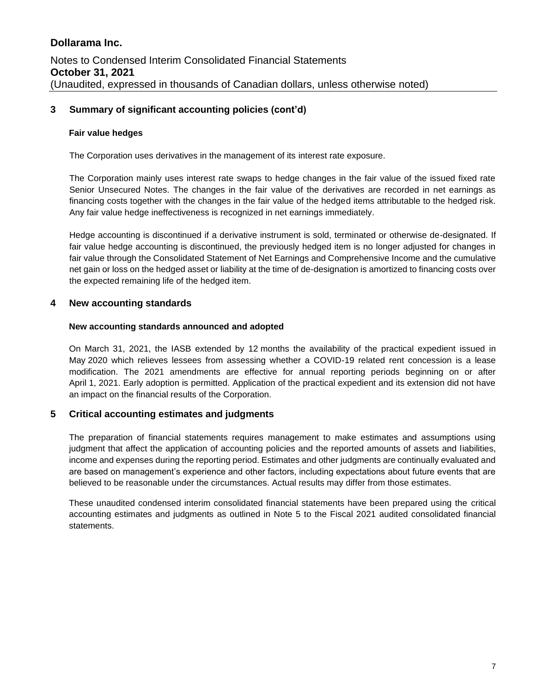### **3 Summary of significant accounting policies (cont'd)**

#### **Fair value hedges**

The Corporation uses derivatives in the management of its interest rate exposure.

The Corporation mainly uses interest rate swaps to hedge changes in the fair value of the issued fixed rate Senior Unsecured Notes. The changes in the fair value of the derivatives are recorded in net earnings as financing costs together with the changes in the fair value of the hedged items attributable to the hedged risk. Any fair value hedge ineffectiveness is recognized in net earnings immediately.

Hedge accounting is discontinued if a derivative instrument is sold, terminated or otherwise de-designated. If fair value hedge accounting is discontinued, the previously hedged item is no longer adjusted for changes in fair value through the Consolidated Statement of Net Earnings and Comprehensive Income and the cumulative net gain or loss on the hedged asset or liability at the time of de-designation is amortized to financing costs over the expected remaining life of the hedged item.

#### **4 New accounting standards**

#### **New accounting standards announced and adopted**

On March 31, 2021, the IASB extended by 12 months the availability of the practical expedient issued in May 2020 which relieves lessees from assessing whether a COVID-19 related rent concession is a lease modification. The 2021 amendments are effective for annual reporting periods beginning on or after April 1, 2021. Early adoption is permitted. Application of the practical expedient and its extension did not have an impact on the financial results of the Corporation.

#### **5 Critical accounting estimates and judgments**

The preparation of financial statements requires management to make estimates and assumptions using judgment that affect the application of accounting policies and the reported amounts of assets and liabilities, income and expenses during the reporting period. Estimates and other judgments are continually evaluated and are based on management's experience and other factors, including expectations about future events that are believed to be reasonable under the circumstances. Actual results may differ from those estimates.

These unaudited condensed interim consolidated financial statements have been prepared using the critical accounting estimates and judgments as outlined in Note 5 to the Fiscal 2021 audited consolidated financial statements.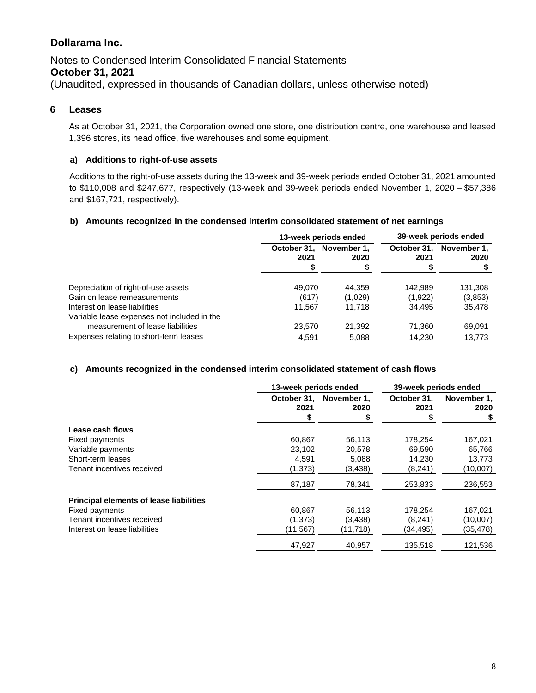# Notes to Condensed Interim Consolidated Financial Statements **October 31, 2021** (Unaudited, expressed in thousands of Canadian dollars, unless otherwise noted)

#### **6 Leases**

As at October 31, 2021, the Corporation owned one store, one distribution centre, one warehouse and leased 1,396 stores, its head office, five warehouses and some equipment.

#### **a) Additions to right-of-use assets**

Additions to the right-of-use assets during the 13-week and 39-week periods ended October 31, 2021 amounted to \$110,008 and \$247,677, respectively (13-week and 39-week periods ended November 1, 2020 – \$57,386 and \$167,721, respectively).

#### **b) Amounts recognized in the condensed interim consolidated statement of net earnings**

|                                             | 13-week periods ended |                     | 39-week periods ended |                     |
|---------------------------------------------|-----------------------|---------------------|-----------------------|---------------------|
|                                             | October 31.<br>2021   | November 1.<br>2020 | October 31.<br>2021   | November 1.<br>2020 |
| Depreciation of right-of-use assets         | 49.070                | 44.359              | 142.989               | 131,308             |
| Gain on lease remeasurements                | (617)                 | (1,029)             | (1,922)               | (3,853)             |
| Interest on lease liabilities               | 11,567                | 11.718              | 34.495                | 35,478              |
| Variable lease expenses not included in the |                       |                     |                       |                     |
| measurement of lease liabilities            | 23.570                | 21.392              | 71,360                | 69,091              |
| Expenses relating to short-term leases      | 4.591                 | 5.088               | 14,230                | 13,773              |

#### **c) Amounts recognized in the condensed interim consolidated statement of cash flows**

|                                                | 13-week periods ended |                     |                     | 39-week periods ended |  |
|------------------------------------------------|-----------------------|---------------------|---------------------|-----------------------|--|
|                                                | October 31.<br>2021   | November 1.<br>2020 | October 31,<br>2021 | November 1.<br>2020   |  |
|                                                | \$                    | \$                  |                     |                       |  |
| Lease cash flows                               |                       |                     |                     |                       |  |
| Fixed payments                                 | 60.867                | 56,113              | 178,254             | 167,021               |  |
| Variable payments                              | 23,102                | 20,578              | 69,590              | 65,766                |  |
| Short-term leases                              | 4,591                 | 5,088               | 14,230              | 13,773                |  |
| Tenant incentives received                     | (1, 373)              | (3,438)             | (8, 241)            | (10,007)              |  |
|                                                | 87,187                | 78,341              | 253,833             | 236,553               |  |
| <b>Principal elements of lease liabilities</b> |                       |                     |                     |                       |  |
| Fixed payments                                 | 60.867                | 56,113              | 178.254             | 167,021               |  |
| Tenant incentives received                     | (1,373)               | (3, 438)            | (8,241)             | (10,007)              |  |
| Interest on lease liabilities                  | (11, 567)             | (11,718)            | (34,495)            | (35,478)              |  |
|                                                | 47.927                | 40.957              | 135,518             | 121,536               |  |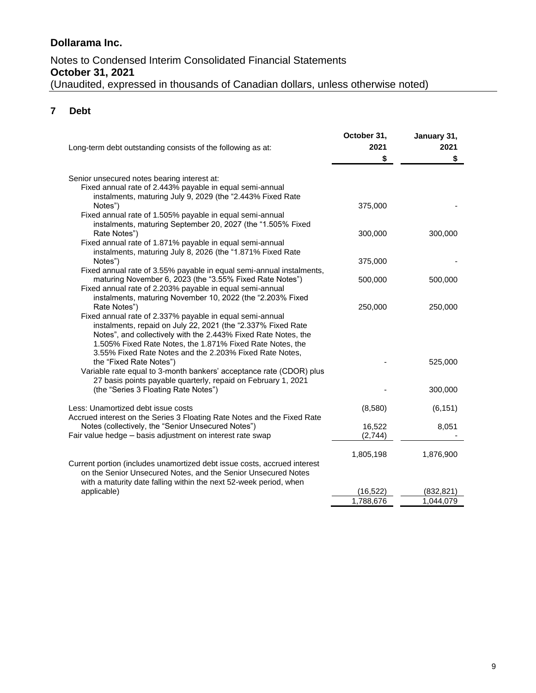# Notes to Condensed Interim Consolidated Financial Statements **October 31, 2021** (Unaudited, expressed in thousands of Canadian dollars, unless otherwise noted)

# **7 Debt**

| Long-term debt outstanding consists of the following as at:                                                                                                                                                                                                                                                                        | October 31,<br>2021<br>\$ | January 31,<br>2021<br>\$ |
|------------------------------------------------------------------------------------------------------------------------------------------------------------------------------------------------------------------------------------------------------------------------------------------------------------------------------------|---------------------------|---------------------------|
| Senior unsecured notes bearing interest at:<br>Fixed annual rate of 2.443% payable in equal semi-annual<br>instalments, maturing July 9, 2029 (the "2.443% Fixed Rate<br>Notes")                                                                                                                                                   | 375,000                   |                           |
| Fixed annual rate of 1.505% payable in equal semi-annual<br>instalments, maturing September 20, 2027 (the "1.505% Fixed<br>Rate Notes")<br>Fixed annual rate of 1.871% payable in equal semi-annual                                                                                                                                | 300,000                   | 300,000                   |
| instalments, maturing July 8, 2026 (the "1.871% Fixed Rate<br>Notes")                                                                                                                                                                                                                                                              | 375,000                   |                           |
| Fixed annual rate of 3.55% payable in equal semi-annual instalments,<br>maturing November 6, 2023 (the "3.55% Fixed Rate Notes")<br>Fixed annual rate of 2.203% payable in equal semi-annual<br>instalments, maturing November 10, 2022 (the "2.203% Fixed                                                                         | 500,000                   | 500,000                   |
| Rate Notes")<br>Fixed annual rate of 2.337% payable in equal semi-annual<br>instalments, repaid on July 22, 2021 (the "2.337% Fixed Rate<br>Notes", and collectively with the 2.443% Fixed Rate Notes, the<br>1.505% Fixed Rate Notes, the 1.871% Fixed Rate Notes, the<br>3.55% Fixed Rate Notes and the 2.203% Fixed Rate Notes, | 250,000                   | 250,000                   |
| the "Fixed Rate Notes")<br>Variable rate equal to 3-month bankers' acceptance rate (CDOR) plus<br>27 basis points payable quarterly, repaid on February 1, 2021                                                                                                                                                                    |                           | 525,000                   |
| (the "Series 3 Floating Rate Notes")                                                                                                                                                                                                                                                                                               |                           | 300,000                   |
| Less: Unamortized debt issue costs<br>Accrued interest on the Series 3 Floating Rate Notes and the Fixed Rate                                                                                                                                                                                                                      | (8,580)                   | (6, 151)                  |
| Notes (collectively, the "Senior Unsecured Notes")<br>Fair value hedge - basis adjustment on interest rate swap                                                                                                                                                                                                                    | 16,522<br>(2,744)         | 8,051                     |
| Current portion (includes unamortized debt issue costs, accrued interest<br>on the Senior Unsecured Notes, and the Senior Unsecured Notes<br>with a maturity date falling within the next 52-week period, when                                                                                                                     | 1,805,198                 | 1,876,900                 |
| applicable)                                                                                                                                                                                                                                                                                                                        | (16, 522)                 | (832, 821)                |
|                                                                                                                                                                                                                                                                                                                                    | 1,788,676                 | 1,044,079                 |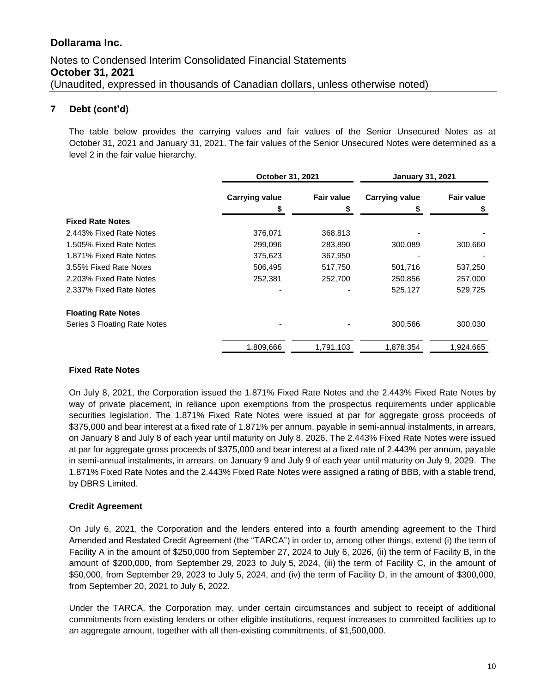### **7 Debt (cont'd)**

The table below provides the carrying values and fair values of the Senior Unsecured Notes as at October 31, 2021 and January 31, 2021. The fair values of the Senior Unsecured Notes were determined as a level 2 in the fair value hierarchy.

|                              |                       | October 31, 2021  |                       | <b>January 31, 2021</b> |  |
|------------------------------|-----------------------|-------------------|-----------------------|-------------------------|--|
|                              | <b>Carrying value</b> | <b>Fair value</b> | <b>Carrying value</b> | <b>Fair value</b>       |  |
|                              |                       | æ.                | \$                    |                         |  |
| <b>Fixed Rate Notes</b>      |                       |                   |                       |                         |  |
| 2.443% Fixed Rate Notes      | 376,071               | 368,813           |                       |                         |  |
| 1.505% Fixed Rate Notes      | 299,096               | 283,890           | 300,089               | 300,660                 |  |
| 1.871% Fixed Rate Notes      | 375,623               | 367,950           |                       |                         |  |
| 3.55% Fixed Rate Notes       | 506,495               | 517,750           | 501,716               | 537,250                 |  |
| 2.203% Fixed Rate Notes      | 252,381               | 252,700           | 250,856               | 257,000                 |  |
| 2.337% Fixed Rate Notes      |                       |                   | 525,127               | 529,725                 |  |
| <b>Floating Rate Notes</b>   |                       |                   |                       |                         |  |
| Series 3 Floating Rate Notes |                       |                   | 300,566               | 300,030                 |  |
|                              | 1,809,666             | 1,791,103         | 1,878,354             | 1,924,665               |  |

#### **Fixed Rate Notes**

On July 8, 2021, the Corporation issued the 1.871% Fixed Rate Notes and the 2.443% Fixed Rate Notes by way of private placement, in reliance upon exemptions from the prospectus requirements under applicable securities legislation. The 1.871% Fixed Rate Notes were issued at par for aggregate gross proceeds of \$375,000 and bear interest at a fixed rate of 1.871% per annum, payable in semi-annual instalments, in arrears, on January 8 and July 8 of each year until maturity on July 8, 2026. The 2.443% Fixed Rate Notes were issued at par for aggregate gross proceeds of \$375,000 and bear interest at a fixed rate of 2.443% per annum, payable in semi-annual instalments, in arrears, on January 9 and July 9 of each year until maturity on July 9, 2029. The 1.871% Fixed Rate Notes and the 2.443% Fixed Rate Notes were assigned a rating of BBB, with a stable trend, by DBRS Limited.

#### **Credit Agreement**

On July 6, 2021, the Corporation and the lenders entered into a fourth amending agreement to the Third Amended and Restated Credit Agreement (the "TARCA") in order to, among other things, extend (i) the term of Facility A in the amount of \$250,000 from September 27, 2024 to July 6, 2026, (ii) the term of Facility B, in the amount of \$200,000, from September 29, 2023 to July 5, 2024, (iii) the term of Facility C, in the amount of \$50,000, from September 29, 2023 to July 5, 2024, and (iv) the term of Facility D, in the amount of \$300,000, from September 20, 2021 to July 6, 2022.

Under the TARCA, the Corporation may, under certain circumstances and subject to receipt of additional commitments from existing lenders or other eligible institutions, request increases to committed facilities up to an aggregate amount, together with all then-existing commitments, of \$1,500,000.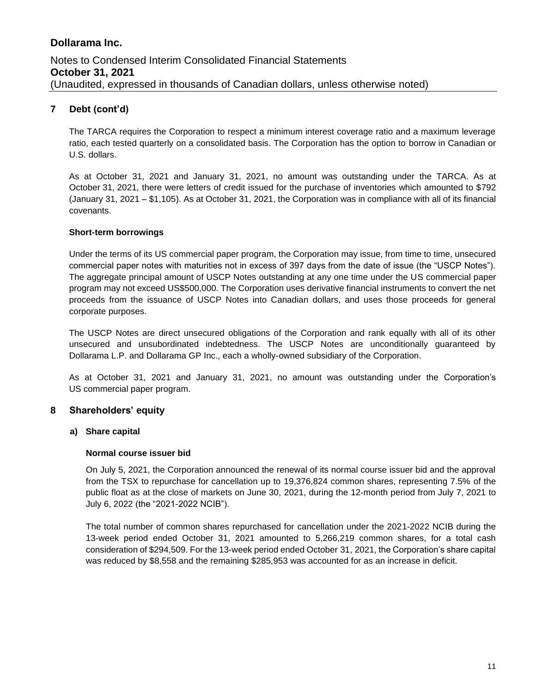### **7 Debt (cont'd)**

The TARCA requires the Corporation to respect a minimum interest coverage ratio and a maximum leverage ratio, each tested quarterly on a consolidated basis. The Corporation has the option to borrow in Canadian or U.S. dollars.

As at October 31, 2021 and January 31, 2021, no amount was outstanding under the TARCA. As at October 31, 2021, there were letters of credit issued for the purchase of inventories which amounted to \$792 (January 31, 2021 – \$1,105). As at October 31, 2021, the Corporation was in compliance with all of its financial covenants.

#### **Short-term borrowings**

Under the terms of its US commercial paper program, the Corporation may issue, from time to time, unsecured commercial paper notes with maturities not in excess of 397 days from the date of issue (the "USCP Notes"). The aggregate principal amount of USCP Notes outstanding at any one time under the US commercial paper program may not exceed US\$500,000. The Corporation uses derivative financial instruments to convert the net proceeds from the issuance of USCP Notes into Canadian dollars, and uses those proceeds for general corporate purposes.

The USCP Notes are direct unsecured obligations of the Corporation and rank equally with all of its other unsecured and unsubordinated indebtedness. The USCP Notes are unconditionally guaranteed by Dollarama L.P. and Dollarama GP Inc., each a wholly-owned subsidiary of the Corporation.

As at October 31, 2021 and January 31, 2021, no amount was outstanding under the Corporation's US commercial paper program.

#### **8 Shareholders' equity**

#### **a) Share capital**

#### **Normal course issuer bid**

On July 5, 2021, the Corporation announced the renewal of its normal course issuer bid and the approval from the TSX to repurchase for cancellation up to 19,376,824 common shares, representing 7.5% of the public float as at the close of markets on June 30, 2021, during the 12‑month period from July 7, 2021 to July 6, 2022 (the "2021-2022 NCIB").

The total number of common shares repurchased for cancellation under the 2021-2022 NCIB during the 13-week period ended October 31, 2021 amounted to 5,266,219 common shares, for a total cash consideration of \$294,509. For the 13-week period ended October 31, 2021, the Corporation's share capital was reduced by \$8,558 and the remaining \$285,953 was accounted for as an increase in deficit.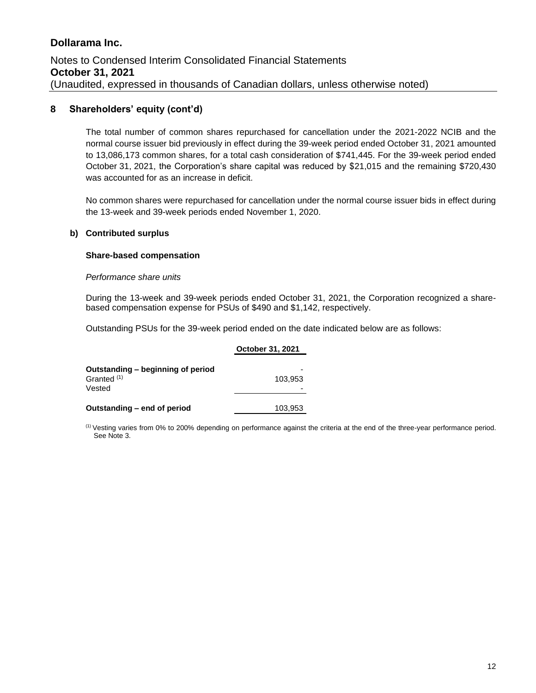#### **8 Shareholders' equity (cont'd)**

The total number of common shares repurchased for cancellation under the 2021-2022 NCIB and the normal course issuer bid previously in effect during the 39-week period ended October 31, 2021 amounted to 13,086,173 common shares, for a total cash consideration of \$741,445. For the 39-week period ended October 31, 2021, the Corporation's share capital was reduced by \$21,015 and the remaining \$720,430 was accounted for as an increase in deficit.

No common shares were repurchased for cancellation under the normal course issuer bids in effect during the 13-week and 39-week periods ended November 1, 2020.

#### **b) Contributed surplus**

#### **Share-based compensation**

#### *Performance share units*

During the 13-week and 39-week periods ended October 31, 2021, the Corporation recognized a sharebased compensation expense for PSUs of \$490 and \$1,142, respectively.

Outstanding PSUs for the 39-week period ended on the date indicated below are as follows:

|                                                                       | October 31, 2021 |
|-----------------------------------------------------------------------|------------------|
| Outstanding - beginning of period<br>Granted <sup>(1)</sup><br>Vested | 103.953          |
| Outstanding – end of period                                           | 103,953          |

(1) Vesting varies from 0% to 200% depending on performance against the criteria at the end of the three-year performance period. See Note 3.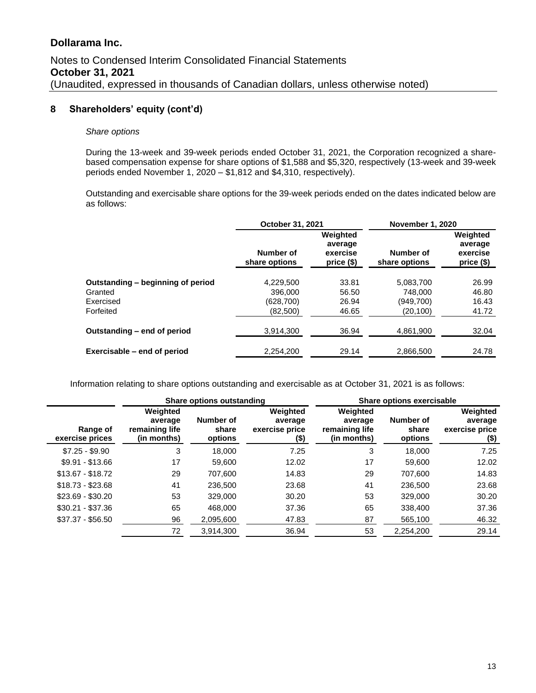#### **8 Shareholders' equity (cont'd)**

#### *Share options*

During the 13-week and 39-week periods ended October 31, 2021, the Corporation recognized a sharebased compensation expense for share options of \$1,588 and \$5,320, respectively (13-week and 39-week periods ended November 1, 2020 – \$1,812 and \$4,310, respectively).

Outstanding and exercisable share options for the 39-week periods ended on the dates indicated below are as follows:

|                                   | October 31, 2021           |                                               | <b>November 1, 2020</b>    |                                               |  |
|-----------------------------------|----------------------------|-----------------------------------------------|----------------------------|-----------------------------------------------|--|
|                                   | Number of<br>share options | Weighted<br>average<br>exercise<br>price (\$) | Number of<br>share options | Weighted<br>average<br>exercise<br>price (\$) |  |
| Outstanding - beginning of period | 4,229,500                  | 33.81                                         | 5,083,700                  | 26.99                                         |  |
| Granted                           | 396,000                    | 56.50                                         | 748.000                    | 46.80                                         |  |
| Exercised                         | (628, 700)                 | 26.94                                         | (949,700)                  | 16.43                                         |  |
| Forfeited                         | (82,500)                   | 46.65                                         | (20, 100)                  | 41.72                                         |  |
| Outstanding – end of period       | 3,914,300                  | 36.94                                         | 4,861,900                  | 32.04                                         |  |
| Exercisable – end of period       | 2,254,200                  | 29.14                                         | 2,866,500                  | 24.78                                         |  |

Information relating to share options outstanding and exercisable as at October 31, 2021 is as follows:

|                             | Share options outstanding                            |                               |                                                |                                                      | <b>Share options exercisable</b> |                                                |
|-----------------------------|------------------------------------------------------|-------------------------------|------------------------------------------------|------------------------------------------------------|----------------------------------|------------------------------------------------|
| Range of<br>exercise prices | Weighted<br>average<br>remaining life<br>(in months) | Number of<br>share<br>options | Weighted<br>average<br>exercise price<br>$($)$ | Weighted<br>average<br>remaining life<br>(in months) | Number of<br>share<br>options    | Weighted<br>average<br>exercise price<br>$($)$ |
| $$7.25 - $9.90$             | 3                                                    | 18.000                        | 7.25                                           | 3                                                    | 18.000                           | 7.25                                           |
| $$9.91 - $13.66$            | 17                                                   | 59,600                        | 12.02                                          | 17                                                   | 59.600                           | 12.02                                          |
| $$13.67 - $18.72$           | 29                                                   | 707.600                       | 14.83                                          | 29                                                   | 707.600                          | 14.83                                          |
| $$18.73 - $23.68$           | 41                                                   | 236,500                       | 23.68                                          | 41                                                   | 236,500                          | 23.68                                          |
| $$23.69 - $30.20$           | 53                                                   | 329,000                       | 30.20                                          | 53                                                   | 329,000                          | 30.20                                          |
| $$30.21 - $37.36$           | 65                                                   | 468,000                       | 37.36                                          | 65                                                   | 338,400                          | 37.36                                          |
| $$37.37 - $56.50$           | 96                                                   | 2,095,600                     | 47.83                                          | 87                                                   | 565,100                          | 46.32                                          |
|                             | 72                                                   | 3,914,300                     | 36.94                                          | 53                                                   | 2,254,200                        | 29.14                                          |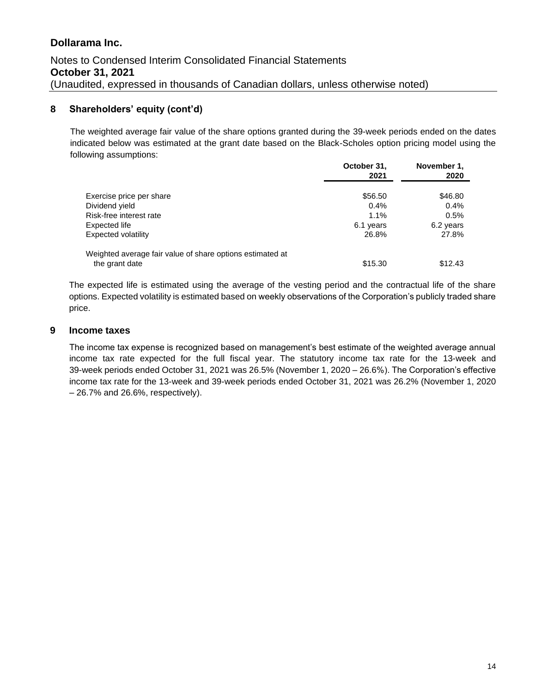### **8 Shareholders' equity (cont'd)**

The weighted average fair value of the share options granted during the 39-week periods ended on the dates indicated below was estimated at the grant date based on the Black-Scholes option pricing model using the following assumptions: **October 31,** 

|                                                           | October 31,<br>2021 | November 1,<br>2020 |
|-----------------------------------------------------------|---------------------|---------------------|
| Exercise price per share                                  | \$56.50             | \$46.80             |
| Dividend yield                                            | $0.4\%$             | 0.4%                |
| Risk-free interest rate                                   | $1.1\%$             | 0.5%                |
| Expected life                                             | 6.1 years           | 6.2 years           |
| Expected volatility                                       | 26.8%               | 27.8%               |
| Weighted average fair value of share options estimated at |                     |                     |
| the grant date                                            | \$15.30             | \$12.43             |

The expected life is estimated using the average of the vesting period and the contractual life of the share options. Expected volatility is estimated based on weekly observations of the Corporation's publicly traded share price.

#### **9 Income taxes**

The income tax expense is recognized based on management's best estimate of the weighted average annual income tax rate expected for the full fiscal year. The statutory income tax rate for the 13-week and 39-week periods ended October 31, 2021 was 26.5% (November 1, 2020 – 26.6%). The Corporation's effective income tax rate for the 13-week and 39-week periods ended October 31, 2021 was 26.2% (November 1, 2020 – 26.7% and 26.6%, respectively).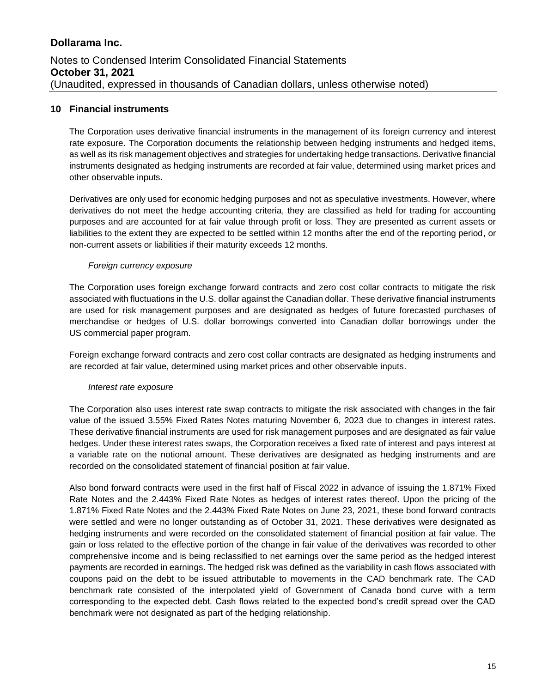#### **10 Financial instruments**

The Corporation uses derivative financial instruments in the management of its foreign currency and interest rate exposure. The Corporation documents the relationship between hedging instruments and hedged items, as well as its risk management objectives and strategies for undertaking hedge transactions. Derivative financial instruments designated as hedging instruments are recorded at fair value, determined using market prices and other observable inputs.

Derivatives are only used for economic hedging purposes and not as speculative investments. However, where derivatives do not meet the hedge accounting criteria, they are classified as held for trading for accounting purposes and are accounted for at fair value through profit or loss. They are presented as current assets or liabilities to the extent they are expected to be settled within 12 months after the end of the reporting period, or non-current assets or liabilities if their maturity exceeds 12 months.

#### *Foreign currency exposure*

The Corporation uses foreign exchange forward contracts and zero cost collar contracts to mitigate the risk associated with fluctuations in the U.S. dollar against the Canadian dollar. These derivative financial instruments are used for risk management purposes and are designated as hedges of future forecasted purchases of merchandise or hedges of U.S. dollar borrowings converted into Canadian dollar borrowings under the US commercial paper program.

Foreign exchange forward contracts and zero cost collar contracts are designated as hedging instruments and are recorded at fair value, determined using market prices and other observable inputs.

#### *Interest rate exposure*

The Corporation also uses interest rate swap contracts to mitigate the risk associated with changes in the fair value of the issued 3.55% Fixed Rates Notes maturing November 6, 2023 due to changes in interest rates. These derivative financial instruments are used for risk management purposes and are designated as fair value hedges. Under these interest rates swaps, the Corporation receives a fixed rate of interest and pays interest at a variable rate on the notional amount. These derivatives are designated as hedging instruments and are recorded on the consolidated statement of financial position at fair value.

Also bond forward contracts were used in the first half of Fiscal 2022 in advance of issuing the 1.871% Fixed Rate Notes and the 2.443% Fixed Rate Notes as hedges of interest rates thereof. Upon the pricing of the 1.871% Fixed Rate Notes and the 2.443% Fixed Rate Notes on June 23, 2021, these bond forward contracts were settled and were no longer outstanding as of October 31, 2021. These derivatives were designated as hedging instruments and were recorded on the consolidated statement of financial position at fair value. The gain or loss related to the effective portion of the change in fair value of the derivatives was recorded to other comprehensive income and is being reclassified to net earnings over the same period as the hedged interest payments are recorded in earnings. The hedged risk was defined as the variability in cash flows associated with coupons paid on the debt to be issued attributable to movements in the CAD benchmark rate. The CAD benchmark rate consisted of the interpolated yield of Government of Canada bond curve with a term corresponding to the expected debt. Cash flows related to the expected bond's credit spread over the CAD benchmark were not designated as part of the hedging relationship.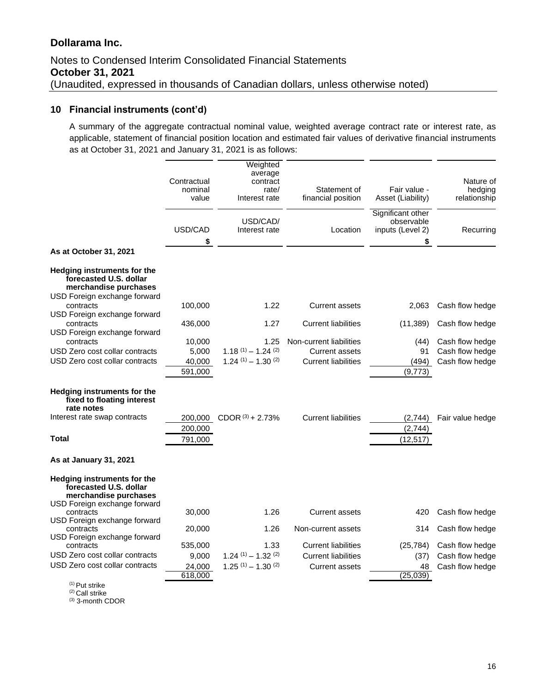# Notes to Condensed Interim Consolidated Financial Statements **October 31, 2021** (Unaudited, expressed in thousands of Canadian dollars, unless otherwise noted)

#### **10 Financial instruments (cont'd)**

A summary of the aggregate contractual nominal value, weighted average contract rate or interest rate, as applicable, statement of financial position location and estimated fair values of derivative financial instruments as at October 31, 2021 and January 31, 2021 is as follows:

|                                                                                                         | Contractual<br>nominal<br>value | Weighted<br>average<br>contract<br>rate/<br>Interest rate | Statement of<br>financial position | Fair value -<br>Asset (Liability)                         | Nature of<br>hedging<br>relationship |  |
|---------------------------------------------------------------------------------------------------------|---------------------------------|-----------------------------------------------------------|------------------------------------|-----------------------------------------------------------|--------------------------------------|--|
|                                                                                                         | USD/CAD<br>\$                   | USD/CAD/<br>Interest rate                                 | Location                           | Significant other<br>observable<br>inputs (Level 2)<br>\$ | Recurring                            |  |
| As at October 31, 2021                                                                                  |                                 |                                                           |                                    |                                                           |                                      |  |
| Hedging instruments for the<br>forecasted U.S. dollar<br>merchandise purchases                          |                                 |                                                           |                                    |                                                           |                                      |  |
| USD Foreign exchange forward<br>contracts<br>USD Foreign exchange forward                               | 100,000                         | 1.22                                                      | <b>Current assets</b>              | 2,063                                                     | Cash flow hedge                      |  |
| contracts<br>USD Foreign exchange forward                                                               | 436,000                         | 1.27                                                      | <b>Current liabilities</b>         | (11, 389)                                                 | Cash flow hedge                      |  |
| contracts                                                                                               | 10,000                          | 1.25                                                      | Non-current liabilities            | (44)                                                      | Cash flow hedge                      |  |
| USD Zero cost collar contracts                                                                          | 5,000                           | $1.18^{(1)} - 1.24^{(2)}$                                 | <b>Current assets</b>              | 91                                                        | Cash flow hedge                      |  |
| USD Zero cost collar contracts                                                                          | 40,000<br>591,000               | $1.24$ (1) $- 1.30$ (2)                                   | <b>Current liabilities</b>         | (494)<br>(9,773)                                          | Cash flow hedge                      |  |
| Hedging instruments for the<br>fixed to floating interest<br>rate notes<br>Interest rate swap contracts | 200,000                         | 200,000 CDOR $(3)$ + 2.73%                                | <b>Current liabilities</b>         | (2,744)<br>(2,744)                                        | Fair value hedge                     |  |
| <b>Total</b>                                                                                            | 791,000                         |                                                           |                                    | (12, 517)                                                 |                                      |  |
| As at January 31, 2021                                                                                  |                                 |                                                           |                                    |                                                           |                                      |  |
| Hedging instruments for the<br>forecasted U.S. dollar<br>merchandise purchases                          |                                 |                                                           |                                    |                                                           |                                      |  |
| USD Foreign exchange forward<br>contracts                                                               | 30,000                          | 1.26                                                      | <b>Current assets</b>              | 420                                                       | Cash flow hedge                      |  |
| USD Foreign exchange forward<br>contracts<br>USD Foreign exchange forward                               | 20,000                          | 1.26                                                      | Non-current assets                 | 314                                                       | Cash flow hedge                      |  |
| contracts                                                                                               | 535,000                         | 1.33                                                      | <b>Current liabilities</b>         | (25, 784)                                                 | Cash flow hedge                      |  |
| USD Zero cost collar contracts                                                                          | 9,000                           | $1.24$ (1) $- 1.32$ (2)                                   | <b>Current liabilities</b>         | (37)                                                      | Cash flow hedge                      |  |
| USD Zero cost collar contracts                                                                          | 24,000<br>618,000               | $1.25$ (1) - $1.30$ (2)                                   | <b>Current assets</b>              | 48<br>(25,039)                                            | Cash flow hedge                      |  |
| $(4)$ $\rightarrow$ $\rightarrow$ $\rightarrow$ $\rightarrow$                                           |                                 |                                                           |                                    |                                                           |                                      |  |

 $(1)$  Put strike

(2) Call strike

(3) 3-month CDOR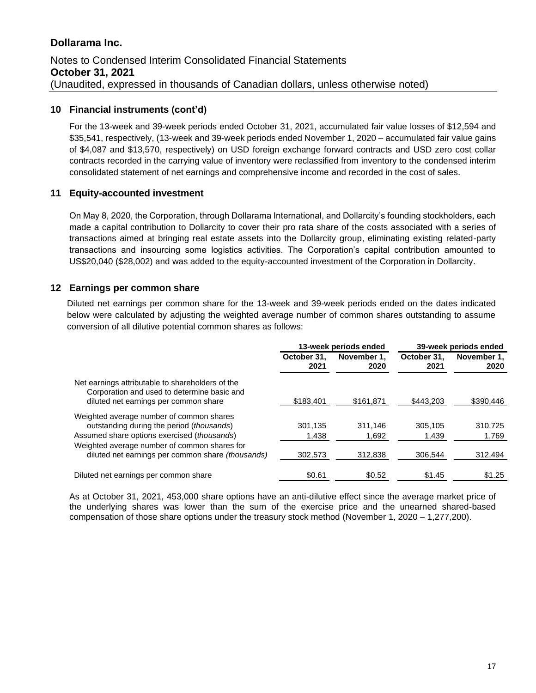#### **10 Financial instruments (cont'd)**

For the 13-week and 39-week periods ended October 31, 2021, accumulated fair value losses of \$12,594 and \$35,541, respectively, (13-week and 39-week periods ended November 1, 2020 – accumulated fair value gains of \$4,087 and \$13,570, respectively) on USD foreign exchange forward contracts and USD zero cost collar contracts recorded in the carrying value of inventory were reclassified from inventory to the condensed interim consolidated statement of net earnings and comprehensive income and recorded in the cost of sales.

#### **11 Equity-accounted investment**

On May 8, 2020, the Corporation, through Dollarama International, and Dollarcity's founding stockholders, each made a capital contribution to Dollarcity to cover their pro rata share of the costs associated with a series of transactions aimed at bringing real estate assets into the Dollarcity group, eliminating existing related-party transactions and insourcing some logistics activities. The Corporation's capital contribution amounted to US\$20,040 (\$28,002) and was added to the equity-accounted investment of the Corporation in Dollarcity.

### **12 Earnings per common share**

Diluted net earnings per common share for the 13-week and 39-week periods ended on the dates indicated below were calculated by adjusting the weighted average number of common shares outstanding to assume conversion of all dilutive potential common shares as follows:

|                                                                                                                                          | 13-week periods ended |                     | 39-week periods ended |                     |
|------------------------------------------------------------------------------------------------------------------------------------------|-----------------------|---------------------|-----------------------|---------------------|
|                                                                                                                                          | October 31,<br>2021   | November 1.<br>2020 | October 31,<br>2021   | November 1.<br>2020 |
| Net earnings attributable to shareholders of the<br>Corporation and used to determine basic and<br>diluted net earnings per common share | \$183,401             | \$161,871           | \$443,203             | \$390,446           |
|                                                                                                                                          |                       |                     |                       |                     |
| Weighted average number of common shares                                                                                                 |                       |                     |                       |                     |
| outstanding during the period (thousands)                                                                                                | 301,135               | 311.146             | 305.105               | 310,725             |
| Assumed share options exercised (thousands)                                                                                              | 1.438                 | 1,692               | 1.439                 | 1.769               |
| Weighted average number of common shares for                                                                                             |                       |                     |                       |                     |
| diluted net earnings per common share (thousands)                                                                                        | 302.573               | 312,838             | 306.544               | 312,494             |
| Diluted net earnings per common share                                                                                                    | \$0.61                | \$0.52              | \$1.45                | \$1.25              |

As at October 31, 2021, 453,000 share options have an anti-dilutive effect since the average market price of the underlying shares was lower than the sum of the exercise price and the unearned shared-based compensation of those share options under the treasury stock method (November 1, 2020 – 1,277,200).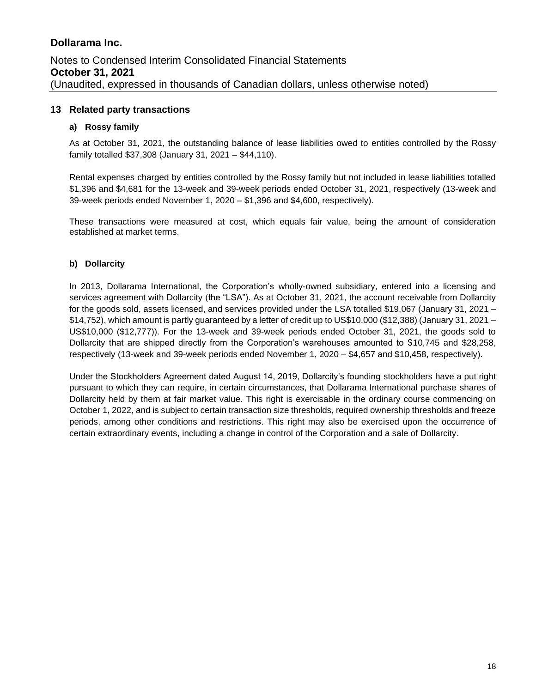#### **13 Related party transactions**

#### **a) Rossy family**

As at October 31, 2021, the outstanding balance of lease liabilities owed to entities controlled by the Rossy family totalled \$37,308 (January 31, 2021 – \$44,110).

Rental expenses charged by entities controlled by the Rossy family but not included in lease liabilities totalled \$1,396 and \$4,681 for the 13-week and 39-week periods ended October 31, 2021, respectively (13-week and 39-week periods ended November 1, 2020 – \$1,396 and \$4,600, respectively).

These transactions were measured at cost, which equals fair value, being the amount of consideration established at market terms.

#### **b) Dollarcity**

In 2013, Dollarama International, the Corporation's wholly-owned subsidiary, entered into a licensing and services agreement with Dollarcity (the "LSA"). As at October 31, 2021, the account receivable from Dollarcity for the goods sold, assets licensed, and services provided under the LSA totalled \$19,067 (January 31, 2021 – \$14,752), which amount is partly guaranteed by a letter of credit up to US\$10,000 (\$12,388) (January 31, 2021 – US\$10,000 (\$12,777)). For the 13-week and 39-week periods ended October 31, 2021, the goods sold to Dollarcity that are shipped directly from the Corporation's warehouses amounted to \$10,745 and \$28,258, respectively (13-week and 39-week periods ended November 1, 2020 – \$4,657 and \$10,458, respectively).

Under the Stockholders Agreement dated August 14, 2019, Dollarcity's founding stockholders have a put right pursuant to which they can require, in certain circumstances, that Dollarama International purchase shares of Dollarcity held by them at fair market value. This right is exercisable in the ordinary course commencing on October 1, 2022, and is subject to certain transaction size thresholds, required ownership thresholds and freeze periods, among other conditions and restrictions. This right may also be exercised upon the occurrence of certain extraordinary events, including a change in control of the Corporation and a sale of Dollarcity.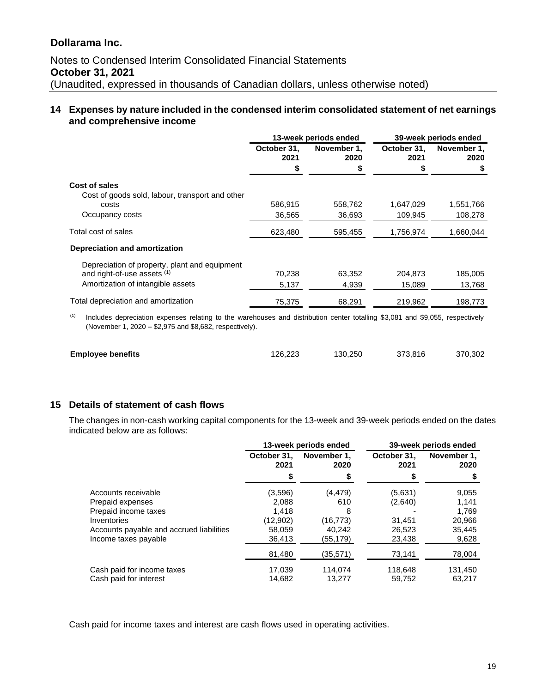### **14 Expenses by nature included in the condensed interim consolidated statement of net earnings and comprehensive income**

|                                                 |                     | 13-week periods ended | 39-week periods ended |                     |  |
|-------------------------------------------------|---------------------|-----------------------|-----------------------|---------------------|--|
|                                                 | October 31,<br>2021 | November 1,<br>2020   | October 31.<br>2021   | November 1,<br>2020 |  |
|                                                 |                     |                       |                       |                     |  |
| Cost of sales                                   |                     |                       |                       |                     |  |
| Cost of goods sold, labour, transport and other |                     |                       |                       |                     |  |
| costs                                           | 586,915             | 558,762               | 1,647,029             | 1,551,766           |  |
| Occupancy costs                                 | 36,565              | 36,693                | 109,945               | 108,278             |  |
| Total cost of sales                             | 623,480             | 595,455               | 1,756,974             | 1,660,044           |  |
| Depreciation and amortization                   |                     |                       |                       |                     |  |
| Depreciation of property, plant and equipment   |                     |                       |                       |                     |  |
| and right-of-use assets (1)                     | 70,238              | 63,352                | 204,873               | 185,005             |  |
| Amortization of intangible assets               | 5,137               | 4,939                 | 15,089                | 13,768              |  |
| Total depreciation and amortization             | 75,375              | 68,291                | 219,962               | 198,773             |  |

(1) Includes depreciation expenses relating to the warehouses and distribution center totalling \$3,081 and \$9,055, respectively (November 1, 2020 – \$2,975 and \$8,682, respectively).

| <b>Employee benefits</b> | 126.223 | 130.250 | 373.816 | 370,302 |
|--------------------------|---------|---------|---------|---------|
|                          |         |         |         |         |

#### **15 Details of statement of cash flows**

The changes in non-cash working capital components for the 13-week and 39-week periods ended on the dates indicated below are as follows:

|                                          | 13-week periods ended |                     | 39-week periods ended |                     |  |
|------------------------------------------|-----------------------|---------------------|-----------------------|---------------------|--|
|                                          | October 31,<br>2021   | November 1.<br>2020 | October 31,<br>2021   | November 1.<br>2020 |  |
|                                          | \$                    |                     |                       |                     |  |
| Accounts receivable                      | (3.596)               | (4, 479)            | (5,631)               | 9,055               |  |
| Prepaid expenses                         | 2,088                 | 610                 | (2,640)               | 1,141               |  |
| Prepaid income taxes                     | 1.418                 | 8                   |                       | 1.769               |  |
| Inventories                              | (12,902)              | (16,773)            | 31,451                | 20,966              |  |
| Accounts payable and accrued liabilities | 58.059                | 40.242              | 26.523                | 35,445              |  |
| Income taxes payable                     | 36,413                | (55,179)            | 23,438                | 9,628               |  |
|                                          | 81,480                | (35,571)            | 73,141                | 78,004              |  |
| Cash paid for income taxes               | 17,039                | 114.074             | 118,648               | 131,450             |  |
| Cash paid for interest                   | 14.682                | 13.277              | 59.752                | 63.217              |  |

Cash paid for income taxes and interest are cash flows used in operating activities.